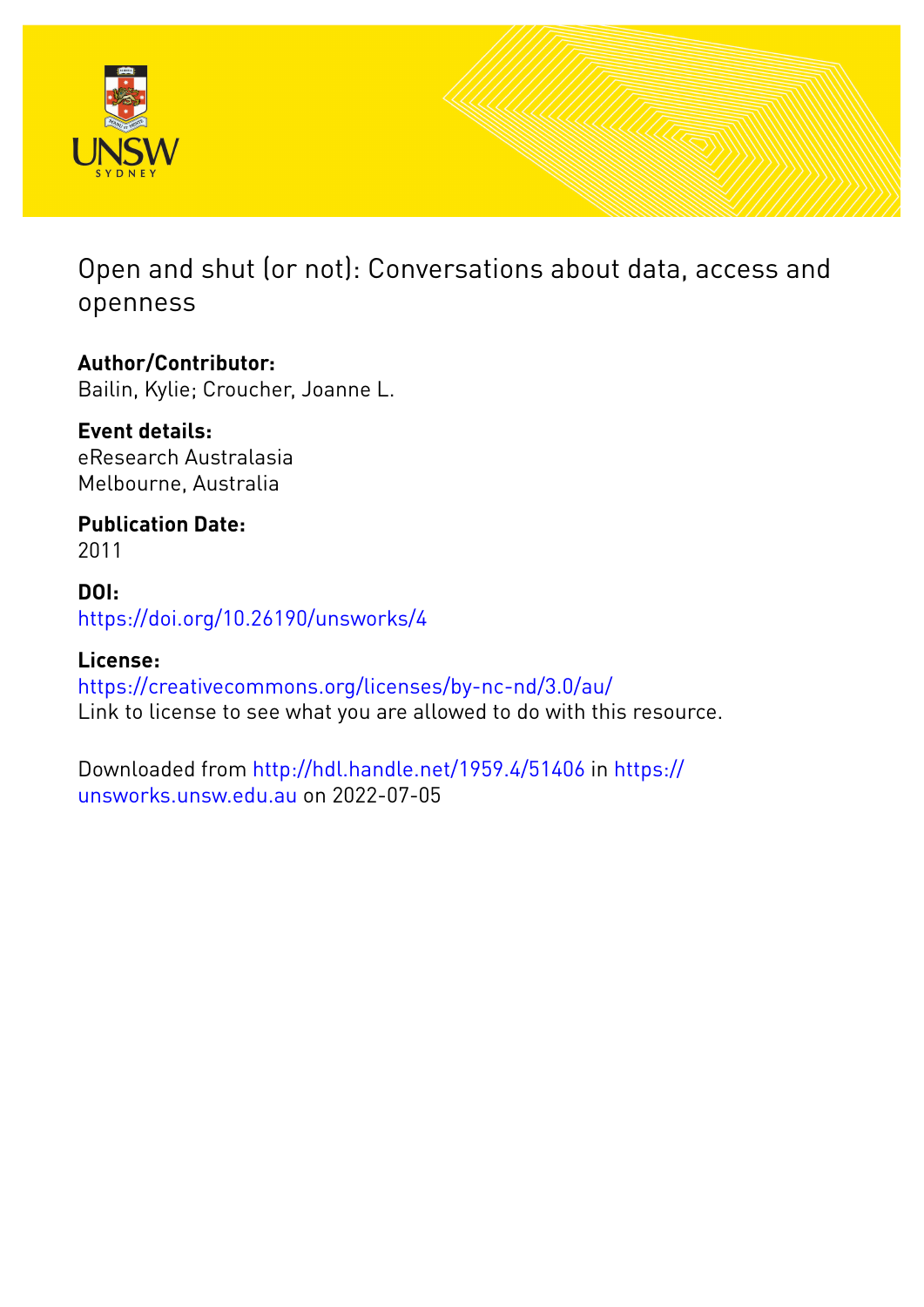

Open and shut (or not): Conversations about data, access and openness

### **Author/Contributor:**

Bailin, Kylie; Croucher, Joanne L.

### **Event details:** eResearch Australasia Melbourne, Australia

**Publication Date:** 2011

## **DOI:** [https://doi.org/10.26190/unsworks/4](http://dx.doi.org/https://doi.org/10.26190/unsworks/4)

### **License:** <https://creativecommons.org/licenses/by-nc-nd/3.0/au/> Link to license to see what you are allowed to do with this resource.

Downloaded from <http://hdl.handle.net/1959.4/51406> in [https://](https://unsworks.unsw.edu.au) [unsworks.unsw.edu.au](https://unsworks.unsw.edu.au) on 2022-07-05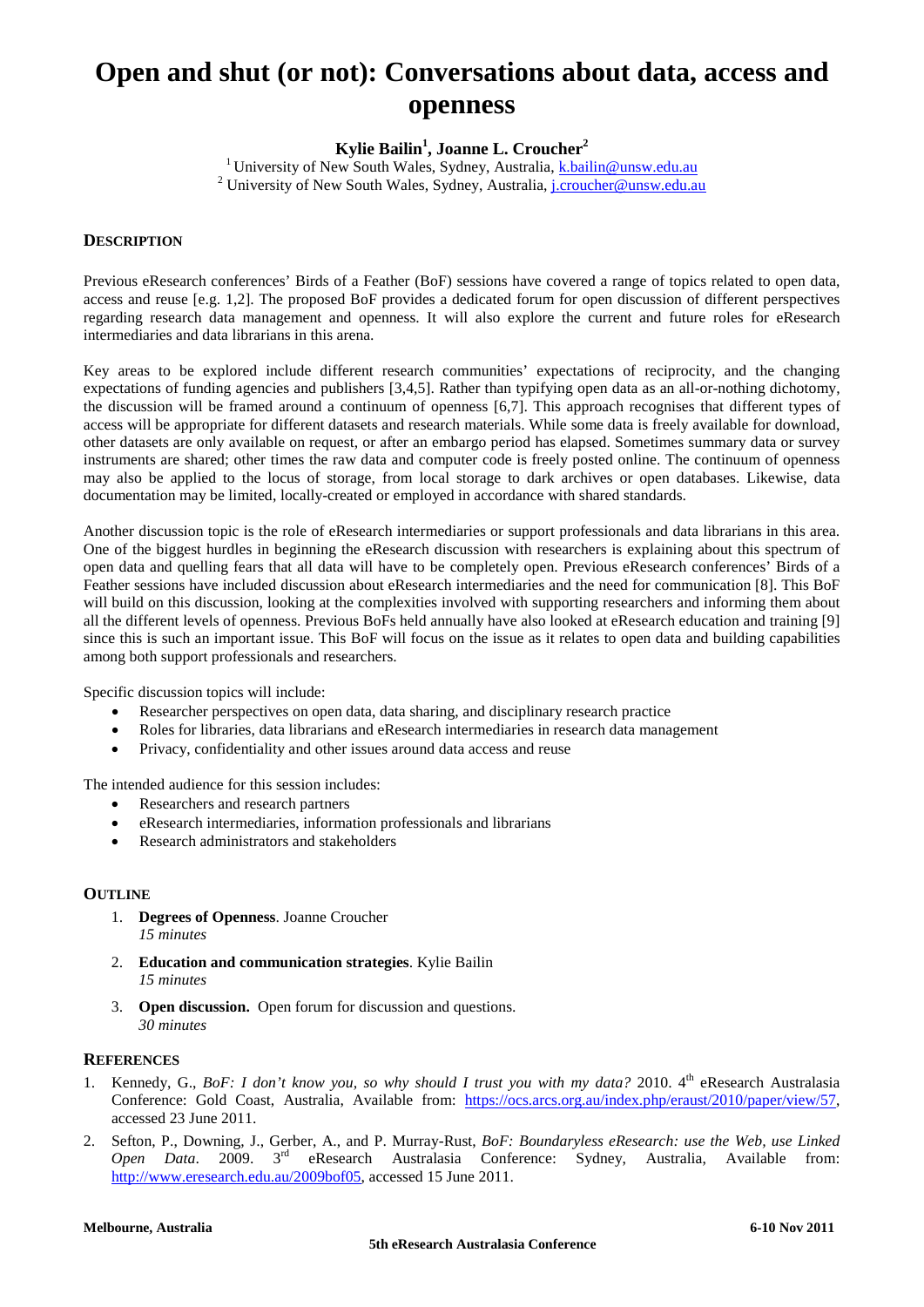# **Open and shut (or not): Conversations about data, access and openness**

**Kylie Bailin1 , Joanne L. Croucher<sup>2</sup>**

<sup>1</sup> University of New South Wales, Sydney, Australia, **k**.bailin@unsw.edu.au <sup>2</sup> University of New South Wales, Sydney, Australia, [j.croucher@unsw.edu.au](mailto:j.croucher@unsw.edu.au)

#### **DESCRIPTION**

Previous eResearch conferences' Birds of a Feather (BoF) sessions have covered a range of topics related to open data, access and reuse [e.g. 1,2]. The proposed BoF provides a dedicated forum for open discussion of different perspectives regarding research data management and openness. It will also explore the current and future roles for eResearch intermediaries and data librarians in this arena.

Key areas to be explored include different research communities' expectations of reciprocity, and the changing expectations of funding agencies and publishers [3,4,5]. Rather than typifying open data as an all-or-nothing dichotomy, the discussion will be framed around a continuum of openness [6,7]. This approach recognises that different types of access will be appropriate for different datasets and research materials. While some data is freely available for download, other datasets are only available on request, or after an embargo period has elapsed. Sometimes summary data or survey instruments are shared; other times the raw data and computer code is freely posted online. The continuum of openness may also be applied to the locus of storage, from local storage to dark archives or open databases. Likewise, data documentation may be limited, locally-created or employed in accordance with shared standards.

Another discussion topic is the role of eResearch intermediaries or support professionals and data librarians in this area. One of the biggest hurdles in beginning the eResearch discussion with researchers is explaining about this spectrum of open data and quelling fears that all data will have to be completely open. Previous eResearch conferences' Birds of a Feather sessions have included discussion about eResearch intermediaries and the need for communication [8]. This BoF will build on this discussion, looking at the complexities involved with supporting researchers and informing them about all the different levels of openness. Previous BoFs held annually have also looked at eResearch education and training [9] since this is such an important issue. This BoF will focus on the issue as it relates to open data and building capabilities among both support professionals and researchers.

Specific discussion topics will include:

- Researcher perspectives on open data, data sharing, and disciplinary research practice
- Roles for libraries, data librarians and eResearch intermediaries in research data management
- Privacy, confidentiality and other issues around data access and reuse

The intended audience for this session includes:

- Researchers and research partners
- eResearch intermediaries, information professionals and librarians
- Research administrators and stakeholders

#### **OUTLINE**

- 1. **Degrees of Openness**. Joanne Croucher *15 minutes*
- 2. **Education and communication strategies**. Kylie Bailin *15 minutes*
- 3. **Open discussion.** Open forum for discussion and questions. *30 minutes*

#### **REFERENCES**

- 1. Kennedy, G., *BoF: I don't know you, so why should I trust you with my data?* 2010. 4th eResearch Australasia Conference: Gold Coast, Australia, Available from: [https://ocs.arcs.org.au/index.php/eraust/2010/paper/view/57,](https://ocs.arcs.org.au/index.php/eraust/2010/paper/view/57) accessed 23 June 2011.
- 2. Sefton, P., Downing, J., Gerber, A., and P. Murray-Rust, *BoF: Boundaryless eResearch: use the Web, use Linked Open Data*. 2009. 3rd eResearch Australasia Conference: Sydney, Australia, Available from: [http://www.eresearch.edu.au/2009bof05,](http://www.eresearch.edu.au/2009bof05) accessed 15 June 2011.